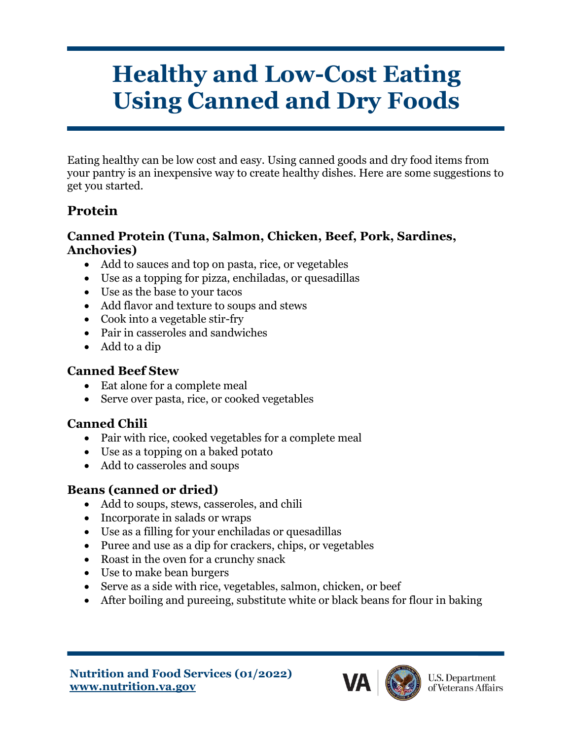# **Healthy and Low-Cost Eating Using Canned and Dry Foods**

Eating healthy can be low cost and easy. Using canned goods and dry food items from your pantry is an inexpensive way to create healthy dishes. Here are some suggestions to get you started.

# **Protein**

#### **Canned Protein (Tuna, Salmon, Chicken, Beef, Pork, Sardines, Anchovies)**

- Add to sauces and top on pasta, rice, or vegetables
- Use as a topping for pizza, enchiladas, or quesadillas
- Use as the base to your tacos
- Add flavor and texture to soups and stews
- Cook into a vegetable stir-fry
- Pair in casseroles and sandwiches
- Add to a dip

### **Canned Beef Stew**

- Eat alone for a complete meal
- Serve over pasta, rice, or cooked vegetables

### **Canned Chili**

- Pair with rice, cooked vegetables for a complete meal
- Use as a topping on a baked potato
- Add to casseroles and soups

# **Beans (canned or dried)**

- Add to soups, stews, casseroles, and chili
- Incorporate in salads or wraps
- Use as a filling for your enchiladas or quesadillas
- Puree and use as a dip for crackers, chips, or vegetables
- Roast in the oven for a crunchy snack
- Use to make bean burgers
- Serve as a side with rice, vegetables, salmon, chicken, or beef
- After boiling and pureeing, substitute white or black beans for flour in baking

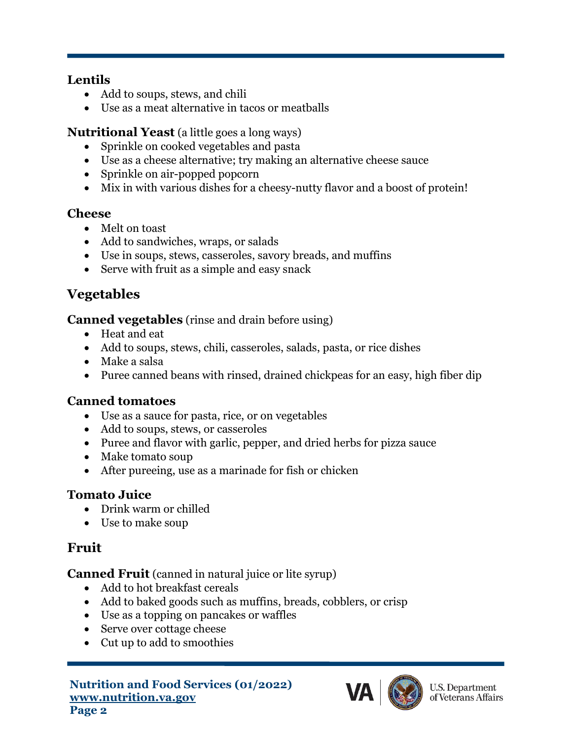#### **Lentils**

- Add to soups, stews, and chili
- Use as a meat alternative in tacos or meatballs

### **Nutritional Yeast** (a little goes a long ways)

- Sprinkle on cooked vegetables and pasta
- Use as a cheese alternative; try making an alternative cheese sauce
- Sprinkle on air-popped popcorn
- Mix in with various dishes for a cheesy-nutty flavor and a boost of protein!

### **Cheese**

- Melt on toast
- Add to sandwiches, wraps, or salads
- Use in soups, stews, casseroles, savory breads, and muffins
- Serve with fruit as a simple and easy snack

# **Vegetables**

**Canned vegetables** (rinse and drain before using)

- Heat and eat
- Add to soups, stews, chili, casseroles, salads, pasta, or rice dishes
- Make a salsa
- Puree canned beans with rinsed, drained chickpeas for an easy, high fiber dip

### **Canned tomatoes**

- Use as a sauce for pasta, rice, or on vegetables
- Add to soups, stews, or casseroles
- Puree and flavor with garlic, pepper, and dried herbs for pizza sauce
- Make tomato soup
- After pureeing, use as a marinade for fish or chicken

### **Tomato Juice**

- Drink warm or chilled
- Use to make soup

### **Fruit**

**Canned Fruit** (canned in natural juice or lite syrup)

- Add to hot breakfast cereals
- Add to baked goods such as muffins, breads, cobblers, or crisp
- Use as a topping on pancakes or waffles
- Serve over cottage cheese
- Cut up to add to smoothies

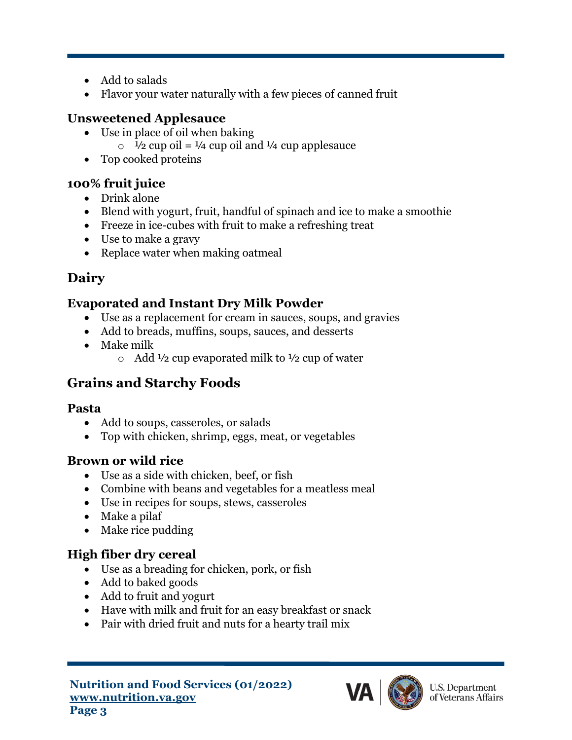- Add to salads
- Flavor your water naturally with a few pieces of canned fruit

### **Unsweetened Applesauce**

- Use in place of oil when baking
	- $\circ$  1/2 cup oil = 1/4 cup oil and 1/4 cup applesauce
- Top cooked proteins

### **100% fruit juice**

- Drink alone
- Blend with yogurt, fruit, handful of spinach and ice to make a smoothie
- Freeze in ice-cubes with fruit to make a refreshing treat
- Use to make a gravy
- Replace water when making oatmeal

# **Dairy**

### **Evaporated and Instant Dry Milk Powder**

- Use as a replacement for cream in sauces, soups, and gravies
- Add to breads, muffins, soups, sauces, and desserts
- Make milk
	- $\circ$  Add  $\frac{1}{2}$  cup evaporated milk to  $\frac{1}{2}$  cup of water

# **Grains and Starchy Foods**

### **Pasta**

- Add to soups, casseroles, or salads
- Top with chicken, shrimp, eggs, meat, or vegetables

### **Brown or wild rice**

- Use as a side with chicken, beef, or fish
- Combine with beans and vegetables for a meatless meal
- Use in recipes for soups, stews, casseroles
- Make a pilaf
- Make rice pudding

### **High fiber dry cereal**

- Use as a breading for chicken, pork, or fish
- Add to baked goods
- Add to fruit and yogurt
- Have with milk and fruit for an easy breakfast or snack
- Pair with dried fruit and nuts for a hearty trail mix

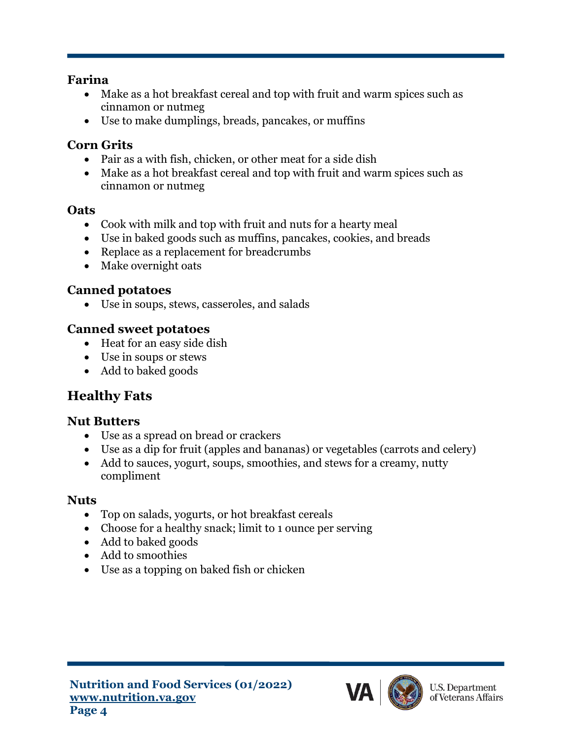#### **Farina**

- Make as a hot breakfast cereal and top with fruit and warm spices such as cinnamon or nutmeg
- Use to make dumplings, breads, pancakes, or muffins

### **Corn Grits**

- Pair as a with fish, chicken, or other meat for a side dish
- Make as a hot breakfast cereal and top with fruit and warm spices such as cinnamon or nutmeg

#### **Oats**

- Cook with milk and top with fruit and nuts for a hearty meal
- Use in baked goods such as muffins, pancakes, cookies, and breads
- Replace as a replacement for breadcrumbs
- Make overnight oats

### **Canned potatoes**

• Use in soups, stews, casseroles, and salads

### **Canned sweet potatoes**

- Heat for an easy side dish
- Use in soups or stews
- Add to baked goods

# **Healthy Fats**

### **Nut Butters**

- Use as a spread on bread or crackers
- Use as a dip for fruit (apples and bananas) or vegetables (carrots and celery)
- Add to sauces, yogurt, soups, smoothies, and stews for a creamy, nutty compliment

### **Nuts**

- Top on salads, yogurts, or hot breakfast cereals
- Choose for a healthy snack; limit to 1 ounce per serving
- Add to baked goods
- Add to smoothies
- Use as a topping on baked fish or chicken